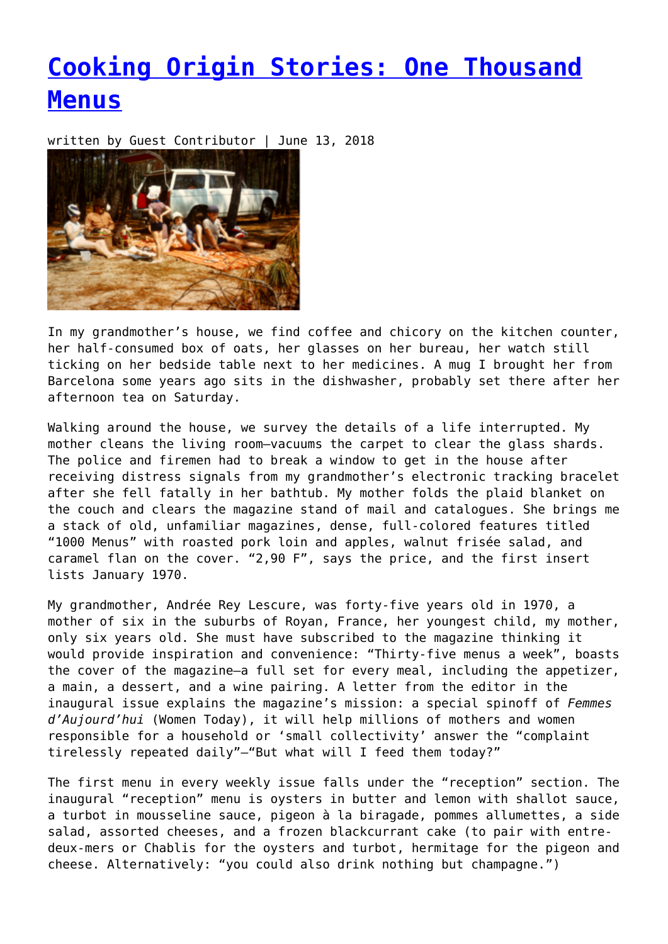## **[Cooking Origin Stories: One Thousand](https://entropymag.org/cooking-origin-stories-one-thousand-menus/) [Menus](https://entropymag.org/cooking-origin-stories-one-thousand-menus/)**

written by Guest Contributor | June 13, 2018



In my grandmother's house, we find coffee and chicory on the kitchen counter, her half-consumed box of oats, her glasses on her bureau, her watch still ticking on her bedside table next to her medicines. A mug I brought her from Barcelona some years ago sits in the dishwasher, probably set there after her afternoon tea on Saturday.

Walking around the house, we survey the details of a life interrupted. My mother cleans the living room—vacuums the carpet to clear the glass shards. The police and firemen had to break a window to get in the house after receiving distress signals from my grandmother's electronic tracking bracelet after she fell fatally in her bathtub. My mother folds the plaid blanket on the couch and clears the magazine stand of mail and catalogues. She brings me a stack of old, unfamiliar magazines, dense, full-colored features titled "1000 Menus" with roasted pork loin and apples, walnut frisée salad, and caramel flan on the cover. "2,90 F", says the price, and the first insert lists January 1970.

My grandmother, Andrée Rey Lescure, was forty-five years old in 1970, a mother of six in the suburbs of Royan, France, her youngest child, my mother, only six years old. She must have subscribed to the magazine thinking it would provide inspiration and convenience: "Thirty-five menus a week", boasts the cover of the magazine—a full set for every meal, including the appetizer, a main, a dessert, and a wine pairing. A letter from the editor in the inaugural issue explains the magazine's mission: a special spinoff of *Femmes d'Aujourd'hui* (Women Today), it will help millions of mothers and women responsible for a household or 'small collectivity' answer the "complaint tirelessly repeated daily"—"But what will I feed them today?"

The first menu in every weekly issue falls under the "reception" section. The inaugural "reception" menu is oysters in butter and lemon with shallot sauce, a turbot in mousseline sauce, pigeon à la biragade, pommes allumettes, a side salad, assorted cheeses, and a frozen blackcurrant cake (to pair with entredeux-mers or Chablis for the oysters and turbot, hermitage for the pigeon and cheese. Alternatively: "you could also drink nothing but champagne.")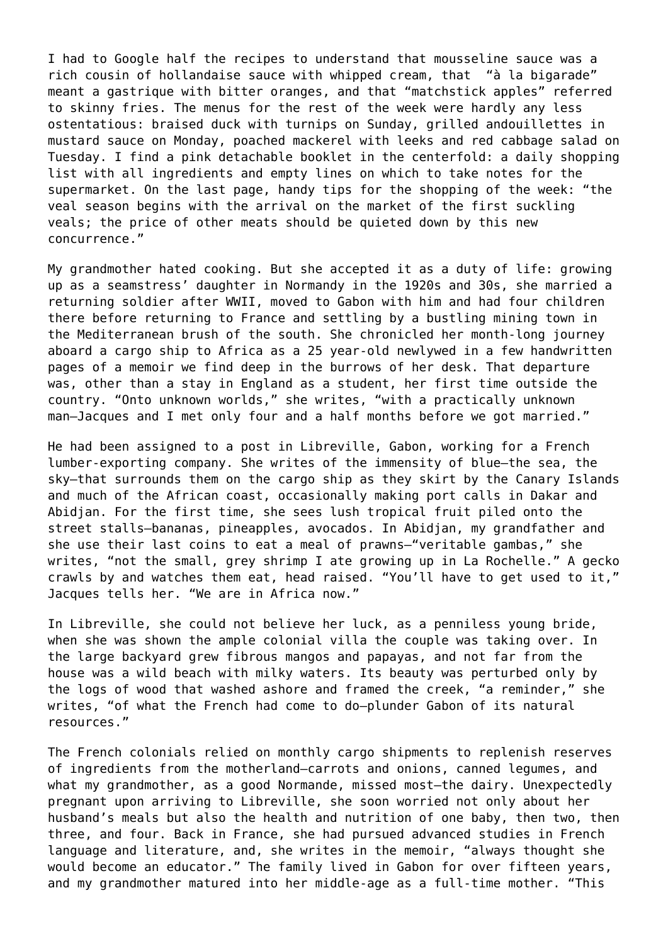I had to Google half the recipes to understand that mousseline sauce was a rich cousin of hollandaise sauce with whipped cream, that "à la bigarade" meant a gastrique with bitter oranges, and that "matchstick apples" referred to skinny fries. The menus for the rest of the week were hardly any less ostentatious: braised duck with turnips on Sunday, grilled andouillettes in mustard sauce on Monday, poached mackerel with leeks and red cabbage salad on Tuesday. I find a pink detachable booklet in the centerfold: a daily shopping list with all ingredients and empty lines on which to take notes for the supermarket. On the last page, handy tips for the shopping of the week: "the veal season begins with the arrival on the market of the first suckling veals; the price of other meats should be quieted down by this new concurrence."

My grandmother hated cooking. But she accepted it as a duty of life: growing up as a seamstress' daughter in Normandy in the 1920s and 30s, she married a returning soldier after WWII, moved to Gabon with him and had four children there before returning to France and settling by a bustling mining town in the Mediterranean brush of the south. She chronicled her month-long journey aboard a cargo ship to Africa as a 25 year-old newlywed in a few handwritten pages of a memoir we find deep in the burrows of her desk. That departure was, other than a stay in England as a student, her first time outside the country. "Onto unknown worlds," she writes, "with a practically unknown man—Jacques and I met only four and a half months before we got married."

He had been assigned to a post in Libreville, Gabon, working for a French lumber-exporting company. She writes of the immensity of blue—the sea, the sky—that surrounds them on the cargo ship as they skirt by the Canary Islands and much of the African coast, occasionally making port calls in Dakar and Abidjan. For the first time, she sees lush tropical fruit piled onto the street stalls—bananas, pineapples, avocados. In Abidjan, my grandfather and she use their last coins to eat a meal of prawns—"veritable gambas," she writes, "not the small, grey shrimp I ate growing up in La Rochelle." A gecko crawls by and watches them eat, head raised. "You'll have to get used to it," Jacques tells her. "We are in Africa now."

In Libreville, she could not believe her luck, as a penniless young bride, when she was shown the ample colonial villa the couple was taking over. In the large backyard grew fibrous mangos and papayas, and not far from the house was a wild beach with milky waters. Its beauty was perturbed only by the logs of wood that washed ashore and framed the creek, "a reminder," she writes, "of what the French had come to do—plunder Gabon of its natural resources."

The French colonials relied on monthly cargo shipments to replenish reserves of ingredients from the motherland—carrots and onions, canned legumes, and what my grandmother, as a good Normande, missed most—the dairy. Unexpectedly pregnant upon arriving to Libreville, she soon worried not only about her husband's meals but also the health and nutrition of one baby, then two, then three, and four. Back in France, she had pursued advanced studies in French language and literature, and, she writes in the memoir, "always thought she would become an educator." The family lived in Gabon for over fifteen years, and my grandmother matured into her middle-age as a full-time mother. "This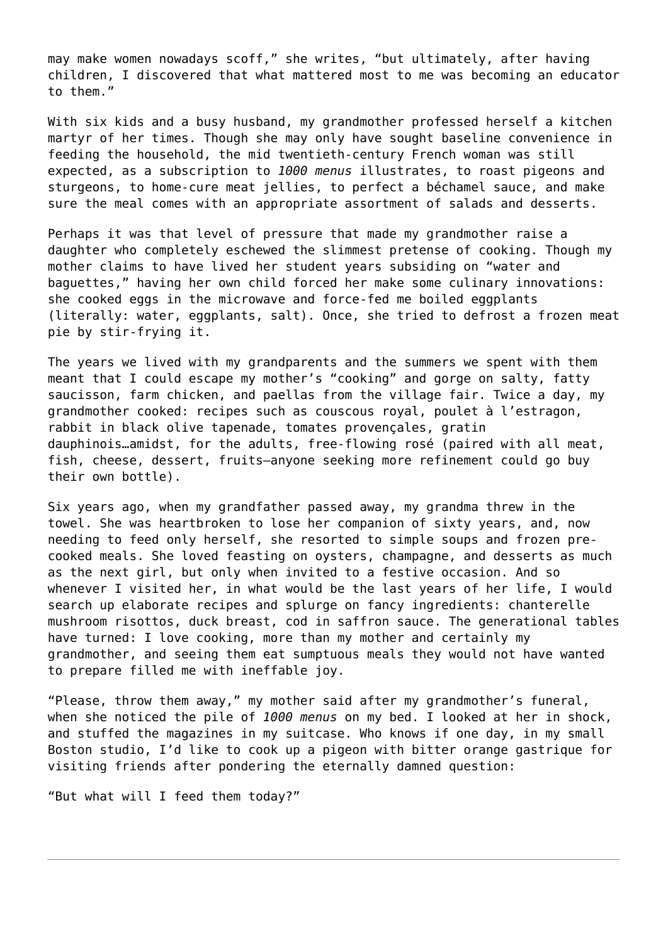may make women nowadays scoff," she writes, "but ultimately, after having children, I discovered that what mattered most to me was becoming an educator to them."

With six kids and a busy husband, my grandmother professed herself a kitchen martyr of her times. Though she may only have sought baseline convenience in feeding the household, the mid twentieth-century French woman was still expected, as a subscription to *1000 menus* illustrates, to roast pigeons and sturgeons, to home-cure meat jellies, to perfect a béchamel sauce, and make sure the meal comes with an appropriate assortment of salads and desserts.

Perhaps it was that level of pressure that made my grandmother raise a daughter who completely eschewed the slimmest pretense of cooking. Though my mother claims to have lived her student years subsiding on "water and baguettes," having her own child forced her make some culinary innovations: she cooked eggs in the microwave and force-fed me boiled eggplants (literally: water, eggplants, salt). Once, she tried to defrost a frozen meat pie by stir-frying it.

The years we lived with my grandparents and the summers we spent with them meant that I could escape my mother's "cooking" and gorge on salty, fatty saucisson, farm chicken, and paellas from the village fair. Twice a day, my grandmother cooked: recipes such as couscous royal, poulet à l'estragon, rabbit in black olive tapenade, tomates provençales, gratin dauphinois…amidst, for the adults, free-flowing rosé (paired with all meat, fish, cheese, dessert, fruits—anyone seeking more refinement could go buy their own bottle).

Six years ago, when my grandfather passed away, my grandma threw in the towel. She was heartbroken to lose her companion of sixty years, and, now needing to feed only herself, she resorted to simple soups and frozen precooked meals. She loved feasting on oysters, champagne, and desserts as much as the next girl, but only when invited to a festive occasion. And so whenever I visited her, in what would be the last years of her life, I would search up elaborate recipes and splurge on fancy ingredients: chanterelle mushroom risottos, duck breast, cod in saffron sauce. The generational tables have turned: I love cooking, more than my mother and certainly my grandmother, and seeing them eat sumptuous meals they would not have wanted to prepare filled me with ineffable joy.

"Please, throw them away," my mother said after my grandmother's funeral, when she noticed the pile of *1000 menus* on my bed. I looked at her in shock, and stuffed the magazines in my suitcase. Who knows if one day, in my small Boston studio, I'd like to cook up a pigeon with bitter orange gastrique for visiting friends after pondering the eternally damned question:

"But what will I feed them today?"